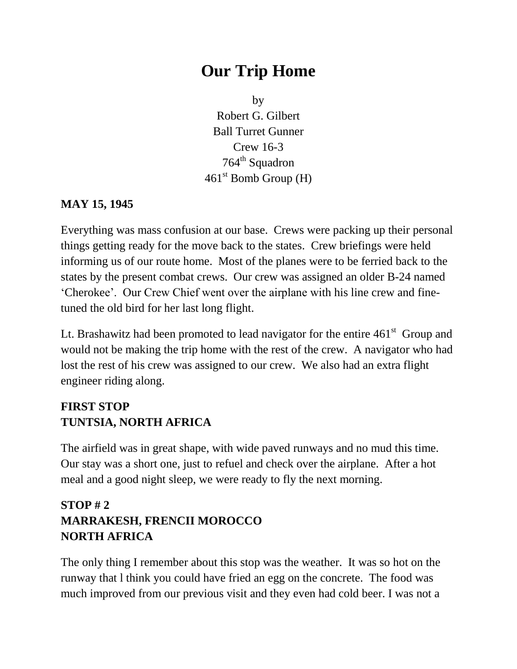# **Our Trip Home**

by Robert G. Gilbert Ball Turret Gunner Crew 16-3  $764<sup>th</sup>$  Squadron 461<sup>st</sup> Bomb Group (H)

#### **MAY 15, 1945**

Everything was mass confusion at our base. Crews were packing up their personal things getting ready for the move back to the states. Crew briefings were held informing us of our route home. Most of the planes were to be ferried back to the states by the present combat crews. Our crew was assigned an older B-24 named 'Cherokee'. Our Crew Chief went over the airplane with his line crew and finetuned the old bird for her last long flight.

Lt. Brashawitz had been promoted to lead navigator for the entire  $461<sup>st</sup>$  Group and would not be making the trip home with the rest of the crew. A navigator who had lost the rest of his crew was assigned to our crew. We also had an extra flight engineer riding along.

### **FIRST STOP TUNTSIA, NORTH AFRICA**

The airfield was in great shape, with wide paved runways and no mud this time. Our stay was a short one, just to refuel and check over the airplane. After a hot meal and a good night sleep, we were ready to fly the next morning.

### **STOP # 2 MARRAKESH, FRENCII MOROCCO NORTH AFRICA**

The only thing I remember about this stop was the weather. It was so hot on the runway that l think you could have fried an egg on the concrete. The food was much improved from our previous visit and they even had cold beer. I was not a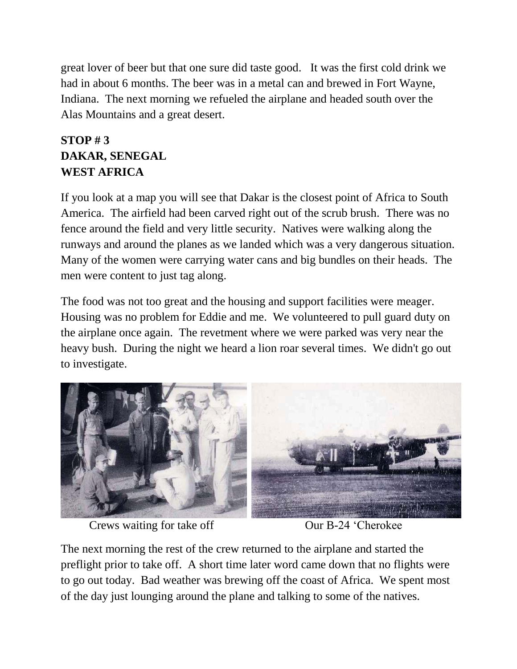great lover of beer but that one sure did taste good. It was the first cold drink we had in about 6 months. The beer was in a metal can and brewed in Fort Wayne, Indiana. The next morning we refueled the airplane and headed south over the Alas Mountains and a great desert.

### **STOP # 3 DAKAR, SENEGAL WEST AFRICA**

If you look at a map you will see that Dakar is the closest point of Africa to South America. The airfield had been carved right out of the scrub brush. There was no fence around the field and very little security. Natives were walking along the runways and around the planes as we landed which was a very dangerous situation. Many of the women were carrying water cans and big bundles on their heads. The men were content to just tag along.

The food was not too great and the housing and support facilities were meager. Housing was no problem for Eddie and me. We volunteered to pull guard duty on the airplane once again. The revetment where we were parked was very near the heavy bush. During the night we heard a lion roar several times. We didn't go out to investigate.



Crews waiting for take off **OUR** Our B-24 'Cherokee'

The next morning the rest of the crew returned to the airplane and started the preflight prior to take off. A short time later word came down that no flights were to go out today. Bad weather was brewing off the coast of Africa. We spent most of the day just lounging around the plane and talking to some of the natives.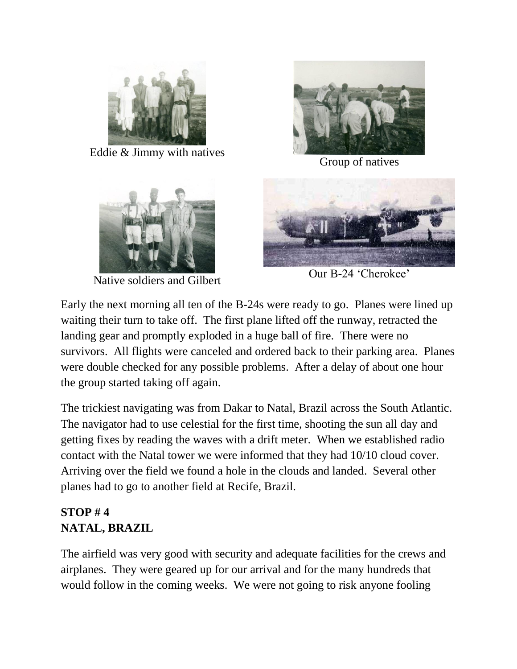

Eddie & Jimmy with natives



Group of natives



Native soldiers and Gilbert Cur B-24 'Cherokee'



Early the next morning all ten of the B-24s were ready to go. Planes were lined up waiting their turn to take off. The first plane lifted off the runway, retracted the landing gear and promptly exploded in a huge ball of fire. There were no survivors. All flights were canceled and ordered back to their parking area. Planes were double checked for any possible problems. After a delay of about one hour the group started taking off again.

The trickiest navigating was from Dakar to Natal, Brazil across the South Atlantic. The navigator had to use celestial for the first time, shooting the sun all day and getting fixes by reading the waves with a drift meter. When we established radio contact with the Natal tower we were informed that they had 10/10 cloud cover. Arriving over the field we found a hole in the clouds and landed. Several other planes had to go to another field at Recife, Brazil.

# **STOP # 4 NATAL, BRAZIL**

The airfield was very good with security and adequate facilities for the crews and airplanes. They were geared up for our arrival and for the many hundreds that would follow in the coming weeks. We were not going to risk anyone fooling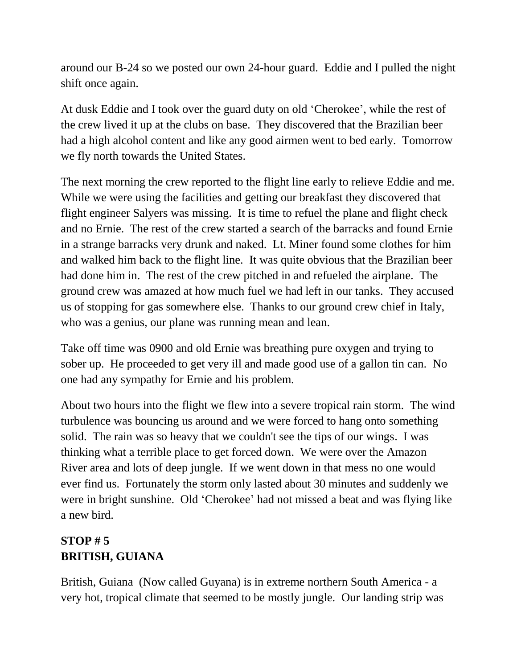around our B-24 so we posted our own 24-hour guard. Eddie and I pulled the night shift once again.

At dusk Eddie and I took over the guard duty on old 'Cherokee', while the rest of the crew lived it up at the clubs on base. They discovered that the Brazilian beer had a high alcohol content and like any good airmen went to bed early. Tomorrow we fly north towards the United States.

The next morning the crew reported to the flight line early to relieve Eddie and me. While we were using the facilities and getting our breakfast they discovered that flight engineer Salyers was missing. It is time to refuel the plane and flight check and no Ernie. The rest of the crew started a search of the barracks and found Ernie in a strange barracks very drunk and naked. Lt. Miner found some clothes for him and walked him back to the flight line. It was quite obvious that the Brazilian beer had done him in. The rest of the crew pitched in and refueled the airplane. The ground crew was amazed at how much fuel we had left in our tanks. They accused us of stopping for gas somewhere else. Thanks to our ground crew chief in Italy, who was a genius, our plane was running mean and lean.

Take off time was 0900 and old Ernie was breathing pure oxygen and trying to sober up. He proceeded to get very ill and made good use of a gallon tin can. No one had any sympathy for Ernie and his problem.

About two hours into the flight we flew into a severe tropical rain storm. The wind turbulence was bouncing us around and we were forced to hang onto something solid. The rain was so heavy that we couldn't see the tips of our wings. I was thinking what a terrible place to get forced down. We were over the Amazon River area and lots of deep jungle. If we went down in that mess no one would ever find us. Fortunately the storm only lasted about 30 minutes and suddenly we were in bright sunshine. Old 'Cherokee' had not missed a beat and was flying like a new bird.

# **STOP # 5 BRITISH, GUIANA**

British, Guiana (Now called Guyana) is in extreme northern South America - a very hot, tropical climate that seemed to be mostly jungle. Our landing strip was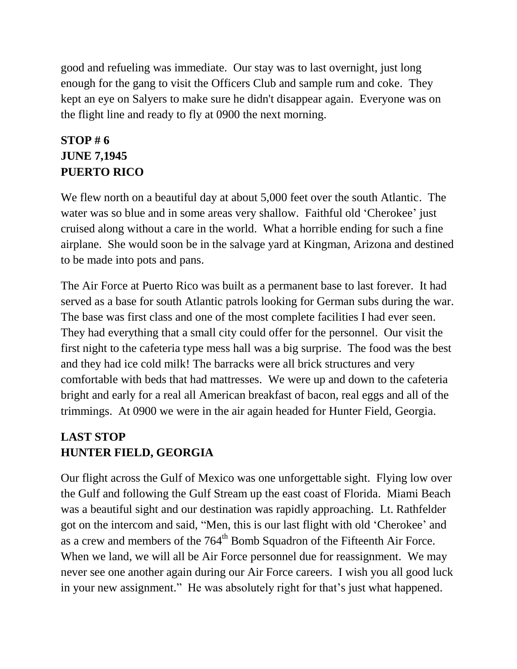good and refueling was immediate. Our stay was to last overnight, just long enough for the gang to visit the Officers Club and sample rum and coke. They kept an eye on Salyers to make sure he didn't disappear again. Everyone was on the flight line and ready to fly at 0900 the next morning.

### **STOP # 6 JUNE 7,1945 PUERTO RICO**

We flew north on a beautiful day at about 5,000 feet over the south Atlantic. The water was so blue and in some areas very shallow. Faithful old 'Cherokee' just cruised along without a care in the world. What a horrible ending for such a fine airplane. She would soon be in the salvage yard at Kingman, Arizona and destined to be made into pots and pans.

The Air Force at Puerto Rico was built as a permanent base to last forever. It had served as a base for south Atlantic patrols looking for German subs during the war. The base was first class and one of the most complete facilities I had ever seen. They had everything that a small city could offer for the personnel. Our visit the first night to the cafeteria type mess hall was a big surprise. The food was the best and they had ice cold milk! The barracks were all brick structures and very comfortable with beds that had mattresses. We were up and down to the cafeteria bright and early for a real all American breakfast of bacon, real eggs and all of the trimmings. At 0900 we were in the air again headed for Hunter Field, Georgia.

### **LAST STOP HUNTER FIELD, GEORGIA**

Our flight across the Gulf of Mexico was one unforgettable sight. Flying low over the Gulf and following the Gulf Stream up the east coast of Florida. Miami Beach was a beautiful sight and our destination was rapidly approaching. Lt. Rathfelder got on the intercom and said, "Men, this is our last flight with old 'Cherokee' and as a crew and members of the 764<sup>th</sup> Bomb Squadron of the Fifteenth Air Force. When we land, we will all be Air Force personnel due for reassignment. We may never see one another again during our Air Force careers. I wish you all good luck in your new assignment." He was absolutely right for that's just what happened.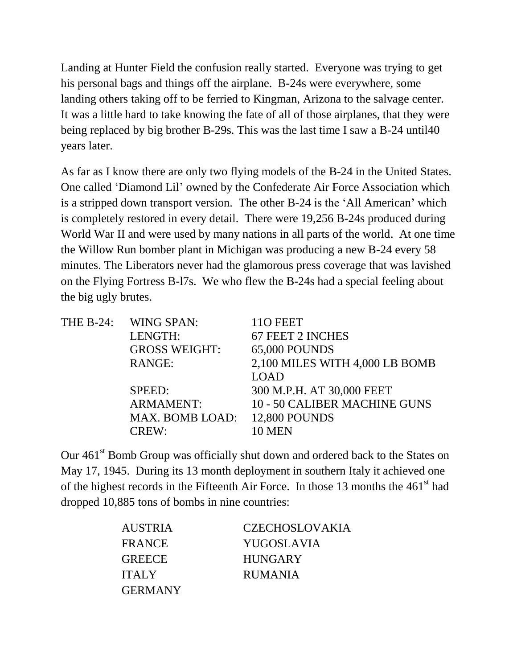Landing at Hunter Field the confusion really started. Everyone was trying to get his personal bags and things off the airplane. B-24s were everywhere, some landing others taking off to be ferried to Kingman, Arizona to the salvage center. It was a little hard to take knowing the fate of all of those airplanes, that they were being replaced by big brother B-29s. This was the last time I saw a B-24 until40 years later.

As far as I know there are only two flying models of the B-24 in the United States. One called 'Diamond Lil' owned by the Confederate Air Force Association which is a stripped down transport version. The other B-24 is the 'All American' which is completely restored in every detail. There were 19,256 B-24s produced during World War II and were used by many nations in all parts of the world. At one time the Willow Run bomber plant in Michigan was producing a new B-24 every 58 minutes. The Liberators never had the glamorous press coverage that was lavished on the Flying Fortress B-l7s. We who flew the B-24s had a special feeling about the big ugly brutes.

|  | THE B-24: WING SPAN:          | 110 FEET                       |
|--|-------------------------------|--------------------------------|
|  | LENGTH:                       | 67 FEET 2 INCHES               |
|  | <b>GROSS WEIGHT:</b>          | <b>65,000 POUNDS</b>           |
|  | RANGE:                        | 2,100 MILES WITH 4,000 LB BOMB |
|  |                               | <b>LOAD</b>                    |
|  | SPEED:                        | 300 M.P.H. AT 30,000 FEET      |
|  | <b>ARMAMENT:</b>              | 10 - 50 CALIBER MACHINE GUNS   |
|  | MAX. BOMB LOAD: 12,800 POUNDS |                                |
|  | CREW:                         | 10 MEN                         |

Our 461<sup>st</sup> Bomb Group was officially shut down and ordered back to the States on May 17, 1945. During its 13 month deployment in southern Italy it achieved one of the highest records in the Fifteenth Air Force. In those 13 months the  $461<sup>st</sup>$  had dropped 10,885 tons of bombs in nine countries:

| <b>AUSTRIA</b> | <b>CZECHOSLOVAKIA</b> |
|----------------|-----------------------|
| <b>FRANCE</b>  | <b>YUGOSLAVIA</b>     |
| <b>GREECE</b>  | <b>HUNGARY</b>        |
| <b>ITALY</b>   | <b>RUMANIA</b>        |
| <b>GERMANY</b> |                       |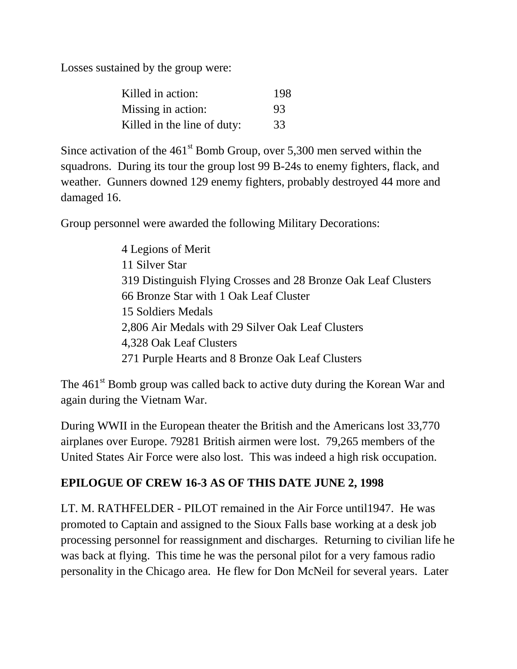Losses sustained by the group were:

| Killed in action:           | 198 |
|-----------------------------|-----|
| Missing in action:          | 93  |
| Killed in the line of duty: | 33  |

Since activation of the  $461<sup>st</sup>$  Bomb Group, over 5,300 men served within the squadrons. During its tour the group lost 99 B-24s to enemy fighters, flack, and weather. Gunners downed 129 enemy fighters, probably destroyed 44 more and damaged 16.

Group personnel were awarded the following Military Decorations:

4 Legions of Merit 11 Silver Star 319 Distinguish Flying Crosses and 28 Bronze Oak Leaf Clusters 66 Bronze Star with 1 Oak Leaf Cluster 15 Soldiers Medals 2,806 Air Medals with 29 Silver Oak Leaf Clusters 4,328 Oak Leaf Clusters 271 Purple Hearts and 8 Bronze Oak Leaf Clusters

The 461<sup>st</sup> Bomb group was called back to active duty during the Korean War and again during the Vietnam War.

During WWII in the European theater the British and the Americans lost 33,770 airplanes over Europe. 79281 British airmen were lost. 79,265 members of the United States Air Force were also lost. This was indeed a high risk occupation.

#### **EPILOGUE OF CREW 16-3 AS OF THIS DATE JUNE 2, 1998**

LT. M. RATHFELDER - PILOT remained in the Air Force until1947. He was promoted to Captain and assigned to the Sioux Falls base working at a desk job processing personnel for reassignment and discharges. Returning to civilian life he was back at flying. This time he was the personal pilot for a very famous radio personality in the Chicago area. He flew for Don McNeil for several years. Later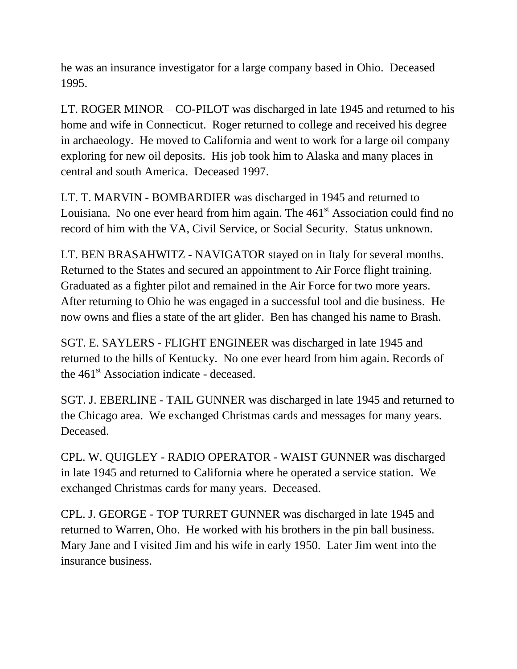he was an insurance investigator for a large company based in Ohio. Deceased 1995.

LT. ROGER MINOR – CO-PILOT was discharged in late 1945 and returned to his home and wife in Connecticut. Roger returned to college and received his degree in archaeology. He moved to California and went to work for a large oil company exploring for new oil deposits. His job took him to Alaska and many places in central and south America. Deceased 1997.

LT. T. MARVIN - BOMBARDIER was discharged in 1945 and returned to Louisiana. No one ever heard from him again. The 461<sup>st</sup> Association could find no record of him with the VA, Civil Service, or Social Security. Status unknown.

LT. BEN BRASAHWITZ - NAVIGATOR stayed on in Italy for several months. Returned to the States and secured an appointment to Air Force flight training. Graduated as a fighter pilot and remained in the Air Force for two more years. After returning to Ohio he was engaged in a successful tool and die business. He now owns and flies a state of the art glider. Ben has changed his name to Brash.

SGT. E. SAYLERS - FLIGHT ENGINEER was discharged in late 1945 and returned to the hills of Kentucky. No one ever heard from him again. Records of the  $461<sup>st</sup>$  Association indicate - deceased.

SGT. J. EBERLINE - TAIL GUNNER was discharged in late 1945 and returned to the Chicago area. We exchanged Christmas cards and messages for many years. Deceased.

CPL. W. QUIGLEY - RADIO OPERATOR - WAIST GUNNER was discharged in late 1945 and returned to California where he operated a service station. We exchanged Christmas cards for many years. Deceased.

CPL. J. GEORGE - TOP TURRET GUNNER was discharged in late 1945 and returned to Warren, Oho. He worked with his brothers in the pin ball business. Mary Jane and I visited Jim and his wife in early 1950. Later Jim went into the insurance business.